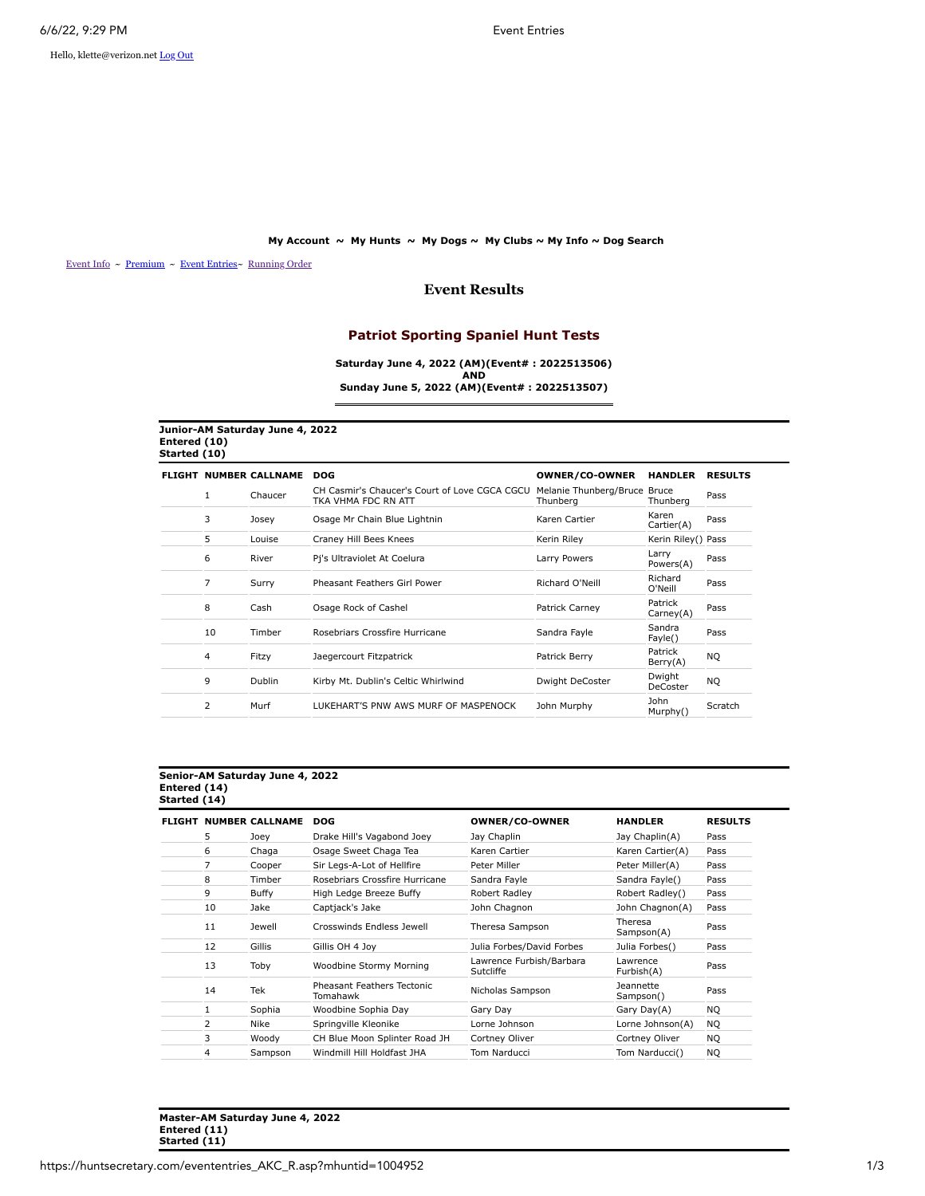Hello, klette@verizon.net [Log Out](https://huntsecretary.com/logout.asp)

### **[My Account](https://huntsecretary.com/myaccount.asp) ~ [My Hunts](https://huntsecretary.com/myhuntlist.asp) ~ [My Dogs](https://huntsecretary.com/mydogs.asp) ~ [My Clubs](https://huntsecretary.com/myclubs.asp) ~ [My Info](https://huntsecretary.com/myusedit.asp) ~ [Dog Search](https://huntsecretary.com/search.asp)**

[Event Info](https://huntsecretary.com/eventinfo_A.asp?mhuntid=1004952) ~ [Premium](https://huntsecretary.com/Premiumakc.asp?mhuntid=1004952) ~ [Event Entries](https://huntsecretary.com/evententries_akc.asp?mhuntid=1004952)~ [Running Order](https://huntsecretary.com/runningorderakc.asp?mhuntid=1004952)

## **Event Results**

## **Patriot Sporting Spaniel Hunt Tests**

**Saturday June 4, 2022 (AM)(Event# : 2022513506) AND Sunday June 5, 2022 (AM)(Event# : 2022513507)**

| Junior-AM Saturday June 4, 2022 |  |
|---------------------------------|--|
| Entered (10)                    |  |
| Started (10)                    |  |
|                                 |  |

|                |               | <b>DOG</b>                                                           | <b>OWNER/CO-OWNER</b> | <b>HANDLER</b>       | <b>RESULTS</b>                               |
|----------------|---------------|----------------------------------------------------------------------|-----------------------|----------------------|----------------------------------------------|
| 1              | Chaucer       | CH Casmir's Chaucer's Court of Love CGCA CGCU<br>TKA VHMA FDC RN ATT | Thunberg              | Bruce<br>Thunbera    | Pass                                         |
| 3              | Josey         | Osage Mr Chain Blue Lightnin                                         | Karen Cartier         | Karen<br>Cartier(A)  | Pass                                         |
| 5              | Louise        | Craney Hill Bees Knees                                               | Kerin Riley           |                      |                                              |
| 6              | River         | Pi's Ultraviolet At Coelura                                          | Larry Powers          | Larry<br>Powers(A)   | Pass                                         |
| 7              | Surry         | Pheasant Feathers Girl Power                                         | Richard O'Neill       | Richard<br>O'Neill   | Pass                                         |
| 8              | Cash          | Osage Rock of Cashel                                                 | Patrick Carney        | Patrick<br>Carney(A) | Pass                                         |
| 10             | Timber        | Rosebriars Crossfire Hurricane                                       | Sandra Fayle          | Sandra<br>Fayle()    | Pass                                         |
| 4              | Fitzy         | Jaegercourt Fitzpatrick                                              | Patrick Berry         | Patrick<br>Berry(A)  | NQ                                           |
| 9              | <b>Dublin</b> | Kirby Mt. Dublin's Celtic Whirlwind                                  | Dwight DeCoster       | Dwight<br>DeCoster   | NQ.                                          |
| $\overline{2}$ | Murf          | LUKEHART'S PNW AWS MURF OF MASPENOCK                                 | John Murphy           | John<br>Murphy()     | Scratch                                      |
|                |               | <b>NUMBER CALLNAME</b>                                               |                       |                      | Melanie Thunberg/Bruce<br>Kerin Riley() Pass |

# **Senior-AM Saturday June 4, 2022 Entered (14) Started (14)**

| <b>FLIGHT</b> |                | <b>NUMBER CALLNAME</b> | <b>DOG</b>                             | <b>OWNER/CO-OWNER</b>                 | <b>HANDLER</b>                | <b>RESULTS</b> |
|---------------|----------------|------------------------|----------------------------------------|---------------------------------------|-------------------------------|----------------|
|               | 5              | Joev                   | Drake Hill's Vagabond Joey             | Jay Chaplin                           | Jay Chaplin(A)                | Pass           |
|               | 6              | Chaga                  | Osage Sweet Chaga Tea                  | Karen Cartier                         | Karen Cartier(A)              | Pass           |
|               | 7              | Cooper                 | Sir Legs-A-Lot of Hellfire             | Peter Miller                          | Peter Miller(A)               | Pass           |
|               | 8              | Timber                 | Rosebriars Crossfire Hurricane         | Sandra Fayle                          | Sandra Fayle()                | Pass           |
|               | 9              | Buffy                  | High Ledge Breeze Buffy                | Robert Radley                         | Robert Radley()               | Pass           |
|               | 10             | Jake                   | Captjack's Jake                        | John Chagnon                          | John Chagnon(A)               | Pass           |
|               | 11             | Jewell                 | Crosswinds Endless Jewell              | Theresa Sampson                       | Theresa<br>Sampson(A)         | Pass           |
|               | 12             | Gillis                 | Gillis OH 4 Joy                        | Julia Forbes/David Forbes             | Julia Forbes()                | Pass           |
|               | 13             | Toby                   | Woodbine Stormy Morning                | Lawrence Furbish/Barbara<br>Sutcliffe | Lawrence<br>Furbish(A)        | Pass           |
|               | 14             | Tek                    | Pheasant Feathers Tectonic<br>Tomahawk | Nicholas Sampson                      | <b>Jeannette</b><br>Sampson() | Pass           |
|               | 1              | Sophia                 | Woodbine Sophia Day                    | Gary Day                              | Gary Day(A)                   | NO.            |
|               | $\overline{2}$ | Nike                   | Springville Kleonike                   | Lorne Johnson                         | Lorne Johnson(A)              | NO.            |
|               | 3              | Woody                  | CH Blue Moon Splinter Road JH          | Cortney Oliver                        | Cortney Oliver                | <b>NO</b>      |
|               | 4              | Sampson                | Windmill Hill Holdfast JHA             | Tom Narducci                          | Tom Narducci()                | NQ.            |

**Master-AM Saturday June 4, 2022 Entered (11) Started (11)**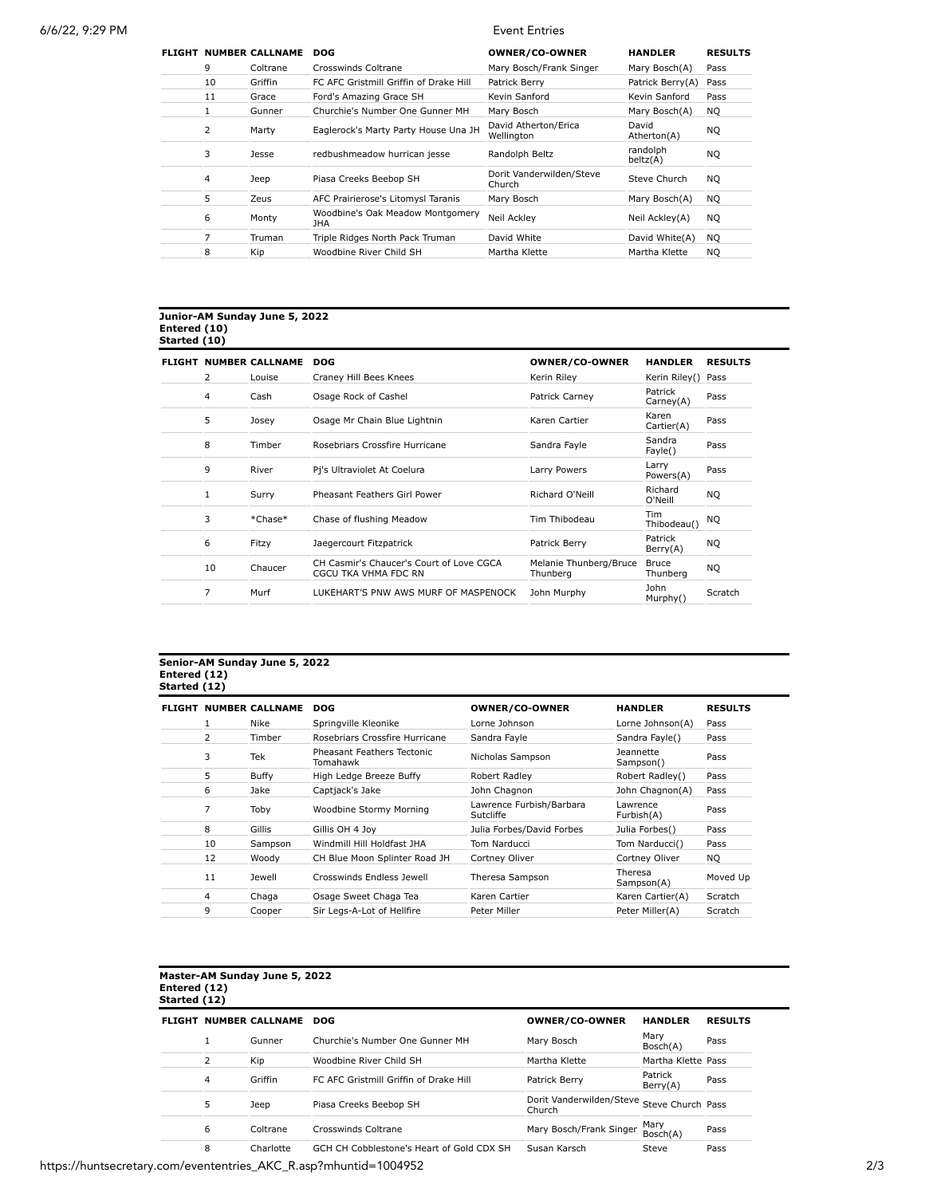| <b>FLIGHT</b> |    | <b>NUMBER CALLNAME</b> | <b>DOG</b>                               | <b>OWNER/CO-OWNER</b>              | <b>HANDLER</b>       | <b>RESULTS</b> |
|---------------|----|------------------------|------------------------------------------|------------------------------------|----------------------|----------------|
|               | 9  | Coltrane               | Crosswinds Coltrane                      | Mary Bosch/Frank Singer            | Mary Bosch(A)        | Pass           |
|               | 10 | Griffin                | FC AFC Gristmill Griffin of Drake Hill   | Patrick Berry                      | Patrick Berry(A)     | Pass           |
|               | 11 | Grace                  | Ford's Amazing Grace SH                  | Kevin Sanford                      | Kevin Sanford        | Pass           |
|               |    | Gunner                 | Churchie's Number One Gunner MH          | Mary Bosch                         | Mary Bosch(A)        | <b>NO</b>      |
|               | 2  | Marty                  | Eaglerock's Marty Party House Una JH     | David Atherton/Erica<br>Wellington | David<br>Atherton(A) | NQ             |
|               | 3  | Jesse                  | redbushmeadow hurrican jesse             | Randolph Beltz                     | randolph<br>beltz(A) | NQ.            |
|               | 4  | Jeep                   | Piasa Creeks Beebop SH                   | Dorit Vanderwilden/Steve<br>Church | Steve Church         | <b>NO</b>      |
|               | 5  | Zeus                   | AFC Prairierose's Litomysl Taranis       | Mary Bosch                         | Mary Bosch(A)        | <b>NO</b>      |
|               | 6  | Monty                  | Woodbine's Oak Meadow Montgomery<br>JHA. | Neil Ackley                        | Neil Ackley(A)       | NQ.            |
|               | 7  | Truman                 | Triple Ridges North Pack Truman          | David White                        | David White(A)       | <b>NO</b>      |
|               | 8  | Kip                    | Woodbine River Child SH                  | Martha Klette                      | Martha Klette        | <b>NO</b>      |

## **Junior-AM Sunday June 5, 2022 Entered (10) Started (10)**

|                | FLIGHT NUMBER CALLNAME | <b>DOG</b>                                                       | OWNER/CO-OWNER                     | <b>HANDLER</b>            | <b>RESULTS</b> |
|----------------|------------------------|------------------------------------------------------------------|------------------------------------|---------------------------|----------------|
| $\overline{2}$ | Louise                 | Craney Hill Bees Knees                                           | Kerin Riley                        | Kerin Riley() Pass        |                |
| 4              | Cash                   | Osage Rock of Cashel                                             | Patrick Carney                     | Patrick<br>Carney(A)      | Pass           |
| 5              | Josey                  | Osage Mr Chain Blue Lightnin                                     | Karen Cartier                      | Karen<br>Cartier(A)       | Pass           |
| 8              | Timber                 | Rosebriars Crossfire Hurricane                                   | Sandra Fayle                       | Sandra<br>Fayle()         | Pass           |
| 9              | River                  | Pi's Ultraviolet At Coelura                                      | Larry Powers                       | Larry<br>Powers(A)        | Pass           |
| 1              | Surry                  | Pheasant Feathers Girl Power                                     | Richard O'Neill                    | Richard<br>O'Neill        | NQ.            |
| 3              | *Chase*                | Chase of flushing Meadow                                         | Tim Thibodeau                      | <b>Tim</b><br>Thibodeau() | NQ.            |
| 6              | Fitzy                  | Jaegercourt Fitzpatrick                                          | Patrick Berry                      | Patrick<br>Berry(A)       | <b>NQ</b>      |
| 10             | Chaucer                | CH Casmir's Chaucer's Court of Love CGCA<br>CGCU TKA VHMA FDC RN | Melanie Thunberg/Bruce<br>Thunberg | Bruce<br>Thunberg         | NQ.            |
| $\overline{7}$ | Murf                   | LUKEHART'S PNW AWS MURF OF MASPENOCK                             | John Murphy                        | John<br>Murphy()          | Scratch        |

# **Senior-AM Sunday June 5, 2022 Entered (12) Started (12)**

|    | <b>FLIGHT NUMBER CALLNAME</b> | <b>DOG</b>                             | <b>OWNER/CO-OWNER</b>                 | <b>HANDLER</b>         | <b>RESULTS</b> |
|----|-------------------------------|----------------------------------------|---------------------------------------|------------------------|----------------|
|    | <b>Nike</b>                   | Springville Kleonike                   | Lorne Johnson                         | Lorne Johnson(A)       | Pass           |
| 2  | Timber                        | Rosebriars Crossfire Hurricane         | Sandra Fayle                          | Sandra Fayle()         | Pass           |
| 3  | Tek                           | Pheasant Feathers Tectonic<br>Tomahawk | Nicholas Sampson                      | Jeannette<br>Sampson() | Pass           |
| 5  | Buffy                         | High Ledge Breeze Buffy                | Robert Radley                         | Robert Radley()        | Pass           |
| 6  | Jake                          | Captjack's Jake                        | John Chagnon                          | John Chagnon(A)        | Pass           |
| 7  | Toby                          | Woodbine Stormy Morning                | Lawrence Furbish/Barbara<br>Sutcliffe | Lawrence<br>Furbish(A) | Pass           |
| 8  | Gillis                        | Gillis OH 4 Jov                        | Julia Forbes/David Forbes             | Julia Forbes()         | Pass           |
| 10 | Sampson                       | Windmill Hill Holdfast JHA             | Tom Narducci                          | Tom Narducci()         | Pass           |
| 12 | Woody                         | CH Blue Moon Splinter Road JH          | Cortney Oliver                        | Cortney Oliver         | <b>NO</b>      |
| 11 | <b>Jewell</b>                 | Crosswinds Endless Jewell              | Theresa Sampson                       | Theresa<br>Sampson(A)  | Moved Up       |
| 4  | Chaga                         | Osage Sweet Chaga Tea                  | Karen Cartier                         | Karen Cartier(A)       | Scratch        |
| 9  | Cooper                        | Sir Leas-A-Lot of Hellfire             | Peter Miller                          | Peter Miller(A)        | Scratch        |

# **Master-AM Sunday June 5, 2022 Entered (12) Started (12)**

| <b>FLIGHT</b> |   | <b>NUMBER CALLNAME</b> | DOG                                       | <b>OWNER/CO-OWNER</b>              | <b>HANDLER</b>      | <b>RESULTS</b> |
|---------------|---|------------------------|-------------------------------------------|------------------------------------|---------------------|----------------|
|               |   | Gunner                 | Churchie's Number One Gunner MH           | Mary Bosch                         | Mary<br>Bosch(A)    | Pass           |
|               |   | Kip                    | Woodbine River Child SH                   | Martha Klette                      | Martha Klette Pass  |                |
|               | 4 | Griffin                | FC AFC Gristmill Griffin of Drake Hill    | Patrick Berry                      | Patrick<br>Berry(A) | Pass           |
|               | 5 | Jeep                   | Piasa Creeks Beebop SH                    | Dorit Vanderwilden/Steve<br>Church | Steve Church Pass   |                |
|               | 6 | Coltrane               | Crosswinds Coltrane                       | Mary Bosch/Frank Singer            | Mary<br>Bosch(A)    | Pass           |
|               | 8 | Charlotte              | GCH CH Cobblestone's Heart of Gold CDX SH | Susan Karsch                       | Steve               | Pass           |

https://huntsecretary.com/evententries\_AKC\_R.asp?mhuntid=1004952 2/3